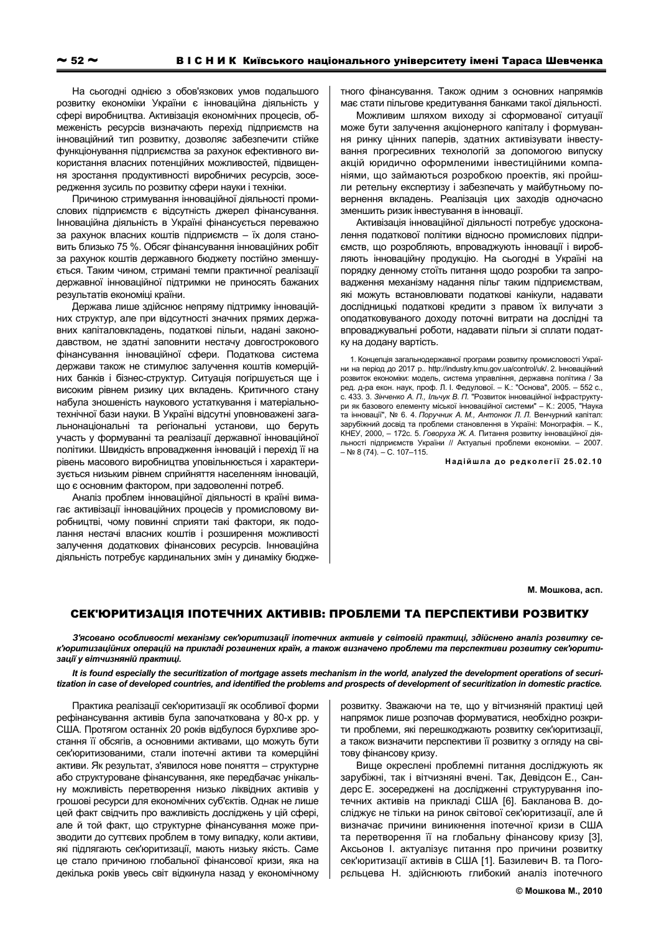На сьогодні однією з обов'язкових умов подальшого розвитку економіки України є інноваційна діяльність у сфері виробництва. Активізація економічних процесів, обмеженість ресурсів визначають перехід підприємств на інноваційний тип розвитку, дозволяє забезпечити стійке функціонування підприємства за рахунок ефективного використання власних потенційних можливостей, підвищення зростання продуктивності виробничих ресурсів, зосередження зусиль по розвитку сфери науки і техніки.

Причиною стримування інноваційної діяльності промислових підприємств є відсутність джерел фінансування. Інноваційна діяльність в Україні фінансується переважно за рахунок власних коштів підприємств - їх доля становить близько 75 %. Обсяг фінансування інноваційних робіт за рахунок коштів державного бюджету постійно зменшується. Таким чином, стримані темпи практичної реалізації державної інноваційної підтримки не приносять бажаних результатів економіці країни.

Держава лише здійснює непряму підтримку інноваційних структур, але при відсутності значних прямих державних капіталовкладень, податкові пільги, надані законодавством, не здатні заповнити нестачу довгострокового фінансування інноваційної сфери. Податкова система держави також не стимулює залучення коштів комерційних банків і бізнес-структур. Ситуація погіршується ще і високим рівнем ризику цих вкладень. Критичного стану набула зношеність наукового устаткування і матеріальнотехнічної бази науки. В Україні відсутні уповноважені загальнонаціональні та регіональні установи, що беруть участь у формуванні та реалізації державної інноваційної політики. Швидкість впровадження інновацій і перехід її на рівень масового виробництва уповільнюється і характеризується низьким рівнем сприйняття населенням інновацій, що є основним фактором, при задоволенні потреб.

Аналіз проблем інноваційної діяльності в країні вимагає активізації інноваційних процесів у промисловому виробництві, чому повинні сприяти такі фактори, як подолання нестачі власних коштів і розширення можливості залучення додаткових фінансових ресурсів. Інноваційна діяльність потребує кардинальних змін у динаміку бюджетного фінансування. Також одним з основних напрямків має стати пільгове кредитування банками такої діяльності.

Можливим шляхом виходу зі сформованої ситуації може бути залучення акціонерного капіталу і формування ринку цінних паперів, здатних активізувати інвестування прогресивних технологій за допомогою випуску акцій юридично оформленими інвестиційними компаніями, що займаються розробкою проектів, які пройшли ретельну експертизу і забезпечать у майбутньому повернення вкладень. Реалізація цих заходів одночасно зменшить ризик інвестування в інновації.

Активізація інноваційної діяльності потребує удосконалення податкової політики відносно промислових підприємств, що розробляють, впроваджують інновації і виробляють інноваційну продукцію. На сьогодні в Україні на порядку денному стоїть питання щодо розробки та запровадження механізму надання пільг таким підприємствам, які можуть встановлювати податкові канікули, надавати дослідницькі податкові кредити з правом їх вилучати з оподатковуваного доходу поточні витрати на дослідні та впроваджувальні роботи, надавати пільги зі сплати податку на додану вартість.

1. Концепція загальнодержавної програми розвитку промисловості України на період до 2017 р. http://industry.kmu.gov.ua/control/uk/. 2. Інноваційний розвиток економіки: модель, система управління, державна політика / За ред. д-ра екон. наук, проф. Л. І. Федулової. - К.: "Основа", 2005. - 552 с., с. 433. 3. Зінченко А. П., Ільчук В. П. "Розвиток інноваційної інфраструктури як базового елементу міської інноваційної системи" - К.: 2005, "Наука та інновації", № 6. 4. Поручник А. М., Антонюк Л. Л. Венчурний капітал: зарубіжний лосвіл та проблеми становлення в Україні: Монографія – К КНЕУ 2000 - 172с. 5. Говоруха Ж. А. Питання розвитку інноваційної ліяльності підприємств України // Актуальні проблеми економіки. - 2007.  $- N<sup>2</sup> 8 (74) - C. 107 - 115.$ 

Надійшла до редколегії 25.02.10

М. Мошкова, асп.

## СЕК'ЮРИТИЗАЦІЯ ІПОТЕЧНИХ АКТИВІВ: ПРОБЛЕМИ ТА ПЕРСПЕКТИВИ РОЗВИТКУ

З'ясовано особливості механізму сек'юритизації іпотечних активів у світовій практиці, здійснено аналіз розвитку сек'юритизаційних операцій на прикладі розвинених країн, а також визначено проблеми та перспективи розвитку сек'юритизації у вітчизняній практиці.

It is found especially the securitization of mortgage assets mechanism in the world, analyzed the development operations of securitization in case of developed countries, and identified the problems and prospects of development of securitization in domestic practice.

Практика реалізації сек'юритизації як особливої форми рефінансування активів була започаткована у 80-х рр. у США. Протягом останніх 20 років відбулося бурхливе зростання її обсягів, а основними активами, що можуть бути сек'юритизованими, стали іпотечні активи та комерційні активи. Як результат, з'явилося нове поняття - структурне або структуроване фінансування, яке передбачає унікальну можливість перетворення низько ліквідних активів у грошові ресурси для економічних суб'єктів. Однак не лише цей факт свідчить про важливість досліджень у цій сфері, але й той факт, що структурне фінансування може призводити до суттєвих проблем в тому випадку, коли активи, які підлягають сек'юритизації, мають низьку якість. Саме це стало причиною глобальної фінансової кризи, яка на декілька років увесь світ відкинула назад у економічному

розвитку. Зважаючи на те, що у вітчизняній практиці цей напрямок лише розпочав формуватися, необхідно розкрити проблеми, які перешкоджають розвитку сек'юритизації, а також визначити перспективи її розвитку з огляду на світову фінансову кризу.

Вище окреслені проблемні питання досліджують як зарубіжні, так і вітчизняні вчені. Так, Девідсон Е., Сандерс Е. зосереджені на дослідженні структурування іпотечних активів на прикладі США [6]. Бакланова В. досліджує не тільки на ринок світової сек'юритизації, але й визначає причини виникнення іпотечної кризи в США та перетворення її на глобальну фінансову кризу [3]. Аксьонов I. актуалізує питання про причини розвитку сек'юритизації активів в США [1]. Базилевич В. та Погорельцева Н. здійснюють глибокий аналіз іпотечного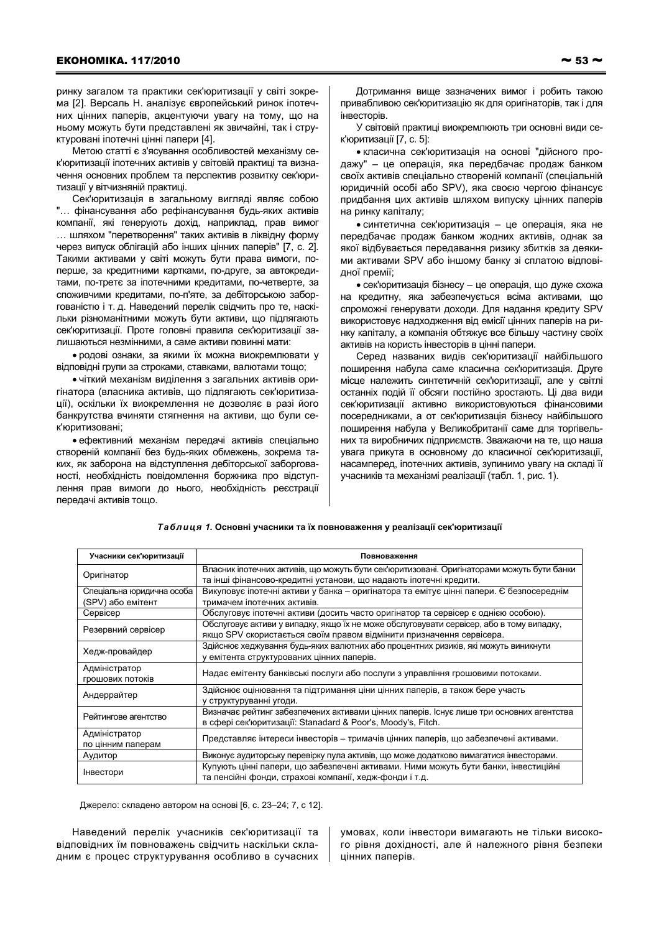ринку загалом та практики сек'юритизації у світі зокрема [2]. Версаль Н. аналізує європейський ринок іпотечних цінних паперів, акцентуючи увагу на тому, що на ньому можуть бути представлені як звичайні, так і структуровані іпотечні цінні папери [4].

Метою статті є з'ясування особливостей механізму сек'юритизації іпотечних активів у світовій практиці та визначення основних проблем та перспектив розвитку сек'юритизації у вітчизняній практиці.

Сек'юритизація в загальному вигляді являє собою "... фінансування або рефінансування будь-яких активів компанії, які генерують дохід, наприклад, прав вимог ... шляхом "перетворення" таких активів в ліквідну форму через випуск облігацій або інших цінних паперів" [7, с. 2]. Такими активами у світі можуть бути права вимоги, поперше, за кредитними картками, по-друге, за автокредитами, по-третє за іпотечними кредитами, по-четверте, за споживчими кредитами, по-п'яте, за дебіторською заборгованістю і т. д. Наведений перелік свідчить про те, наскільки різноманітними можуть бути активи, що підлягають сек'юритизації. Проте головні правила сек'юритизації залишаються незмінними, а саме активи повинні мати:

• родові ознаки, за якими їх можна виокремлювати у відповідні групи за строками, ставками, валютами тощо;

• чіткий механізм виділення з загальних активів оригінатора (власника активів, що підлягають сек'юритизації), оскільки їх виокремлення не дозволяє в разі його банкрутства вчиняти стягнення на активи, що були сек'юритизовані;

• ефективний механізм передачі активів спеціально створеній компанії без будь-яких обмежень, зокрема таких, як заборона на відступлення дебіторської заборгованості, необхідність повідомлення боржника про відступлення прав вимоги до нього, необхідність реєстрації передачі активів тощо.

Дотримання вище зазначених вимог і робить такою привабливою сек'юритизацію як для оригінаторів, так і для **IHBECTODIB.** 

У світовій практиці виокремлюють три основні види сек'юритизації [7, с. 5]:

• класична сек'юритизація на основі "дійсного продажу" - це операція, яка передбачає продаж банком своїх активів спеціально створеній компанії (спеціальній юридичній особі або SPV), яка своєю чергою фінансує придбання цих активів шляхом випуску цінних паперів на ринку капіталу;

• синтетична сек'юритизація - це операція, яка не передбачає продаж банком жодних активів, однак за якої відбувається передавання ризику збитків за деякими активами SPV або іншому банку зі сплатою відповідної премії;

• сек'юритизація бізнесу - це операція, що дуже схожа на кредитну, яка забезпечується всіма активами, що спроможні генерувати доходи. Для надання кредиту SPV використовує надходження від емісії цінних паперів на ринку капіталу, а компанія обтяжує все більшу частину своїх активів на користь інвесторів в цінні папери.

Серед названих видів сек'юритизації найбільшого поширення набула саме класична сек'юритизація. Друге місце належить синтетичній сек'юритизації, але у світлі останніх подій її обсяги постійно зростають. Ці два види сек'юритизації активно використовуються фінансовими посередниками, а от сек'юритизація бізнесу найбільшого поширення набула у Великобританії саме для торгівельних та виробничих підприємств. Зважаючи на те, що наша увага прикута в основному до класичної сек'юритизації, насамперед, іпотечних активів, зупинимо увагу на складі її учасників та механізмі реалізації (табл. 1, рис. 1).

| Учасники сек'юритизації                        | Повноваження                                                                                                                                                     |
|------------------------------------------------|------------------------------------------------------------------------------------------------------------------------------------------------------------------|
| Оригінатор                                     | Власник іпотечних активів, що можуть бути сек'юритизовані. Оригінаторами можуть бути банки<br>та інші фінансово-кредитні установи, що надають іпотечні кредити.  |
| Спеціальна юридична особа<br>(SPV) або емітент | Викуповує іпотечні активи у банка – оригінатора та емітує цінні папери. Є безпосереднім<br>тримачем іпотечних активів.                                           |
| Сервісер                                       | Обслуговує іпотечні активи (досить часто оригінатор та сервісер є однією особою).                                                                                |
| Резервний сервісер                             | Обслуговує активи у випадку, якщо їх не може обслуговувати сервісер, або в тому випадку,<br>якщо SPV скористається своїм правом відмінити призначення сервісера. |
| Хедж-провайдер                                 | Здійснює хеджування будь-яких валютних або процентних ризиків, які можуть виникнути<br>у емітента структурованих цінних паперів.                                 |
| Адміністратор<br>грошових потоків              | Надає емітенту банківські послуги або послуги з управління грошовими потоками.                                                                                   |
| Андеррайтер                                    | Здійснює оцінювання та підтримання ціни цінних паперів, а також бере участь<br>у структуруванні угоди.                                                           |
| Рейтингове агентство                           | Визначає рейтинг забезпечених активами цінних паперів. Існує лише три основних агентства<br>в сфері сек'юритизації: Stanadard & Poor's, Moody's, Fitch.          |
| Адміністратор<br>по цінним паперам             | Представляє інтереси інвесторів – тримачів цінних паперів, що забезпечені активами.                                                                              |
| Аудитор                                        | Виконує аудиторську перевірку пула активів, що може додатково вимагатися інвесторами.                                                                            |
| Інвестори                                      | Купують цінні папери, що забезпечені активами. Ними можуть бути банки, інвестиційні<br>та пенсійні фонди, страхові компанії, хедж-фонди і т.д.                   |

Таблиця 1. Основні учасники та їх повноваження у реалізації сек'юритизації

Джерело: складено автором на основі [6, с. 23-24; 7, с 12].

Наведений перелік учасників сек'юритизації та відповідних їм повноважень свідчить наскільки складним є процес структурування особливо в сучасних

умовах, коли інвестори вимагають не тільки високого рівня дохідності, але й належного рівня безпеки цінних паперів.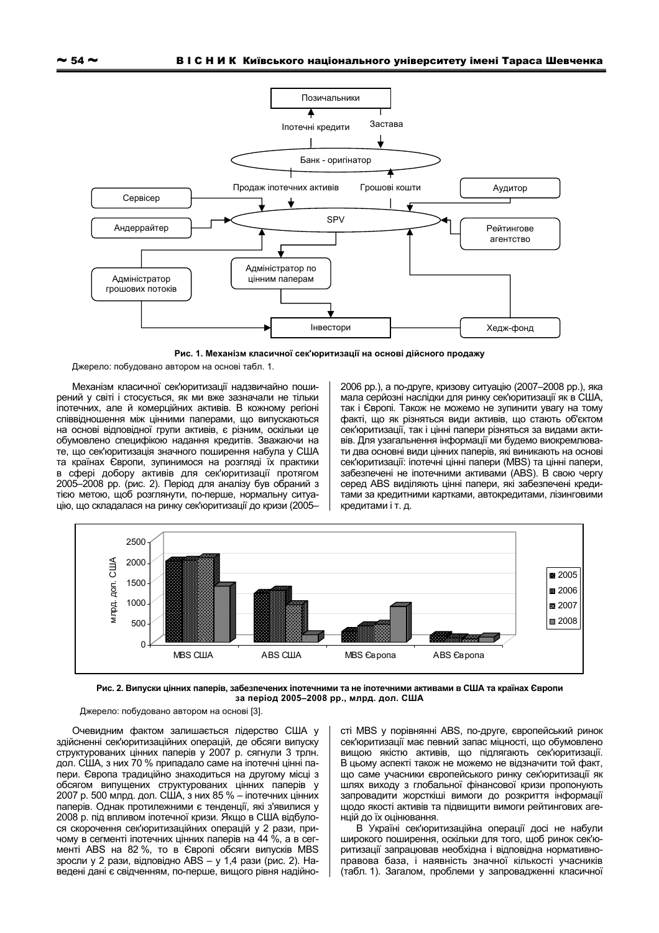



Джерело: побудовано автором на основі табл. 1.

Механізм класичної сек'юритизації надзвичайно поширений у світі і стосується, як ми вже зазначали не тільки іпотечних, але й комерційних активів. В кожному регіоні співвідношення між цінними паперами, що випускаються на основі відповідної групи активів, є різним, оскільки це обумовлено специфікою надання кредитів. Зважаючи на те, що сек'юритизація значного поширення набула у США та країнах Європи, зупинимося на розгляді їх практики в сфері добору активів для сек'юритизації протягом 2005-2008 рр. (рис. 2). Період для аналізу був обраний з тією метою, щоб розглянути, по-перше, нормальну ситуацію, що складалася на ринку сек'юритизації до кризи (20052006 рр.), а по-друге, кризову ситуацію (2007-2008 рр.), яка мала серйозні наслідки для ринку сек'юритизації як в США, так і Європі. Також не можемо не зупинити увагу на тому факті, що як різняться види активів, що стають об'єктом сек'юритизації, так і цінні папери різняться за видами активів. Для узагальнення інформації ми будемо виокремлювати два основні види цінних паперів, які виникають на основі сек'юритизації: іпотечні цінні папери (MBS) та цінні папери, забезпечені не іпотечними активами (ABS). В свою чергу серед ABS виділяють цінні папери, які забезпечені кредитами за кредитними картками, автокредитами, лізинговими кредитами і т. д.



Рис. 2. Випуски цінних паперів, забезпечених іпотечними та не іпотечними активами в США та країнах Європи за період 2005-2008 рр., млрд. дол. США

Джерело: побудовано автором на основі [3].

Очевидним фактом залишається лідерство США у здійсненні сек'юритизаційних операцій, де обсяги випуску структурованих цінних паперів у 2007 р. сягнули 3 трлн. дол. США, з них 70 % припадало саме на іпотечні цінні папери. Європа традиційно знаходиться на другому місці з обсягом випущених структурованих цінних паперів у 2007 р. 500 млрд. дол. США, з них 85 % - іпотечних цінних паперів. Однак протилежними є тенденції, які з'явилися у 2008 р. під впливом іпотечної кризи. Якщо в США відбулося скорочення сек'юритизаційних операцій у 2 рази, причому в сегменті іпотечних цінних паперів на 44 %, а в сегменті ABS на 82 %, то в Європі обсяги випусків MBS зросли у 2 рази, відповідно ABS - у 1,4 рази (рис. 2). Наведені дані є свідченням, по-перше, вищого рівня надійності MBS у порівнянні ABS, по-друге, європейський ринок сек'юритизації має певний запас міцності, що обумовлено вищою якістю активів, що підлягають сек'юритизації. В цьому аспекті також не можемо не відзначити той факт, що саме учасники європейського ринку сек'юритизації як шлях виходу з глобальної фінансової кризи пропонують запровадити жорсткіші вимоги до розкриття інформації щодо якості активів та підвищити вимоги рейтингових агенцій до їх оцінювання.

В Україні сек'юритизаційна операції досі не набули широкого поширення, оскільки для того, щоб ринок сек'юритизації запрацював необхідна і відповідна нормативноправова база, і наявність значної кількості учасників (табл. 1). Загалом, проблеми у запровадженні класичної